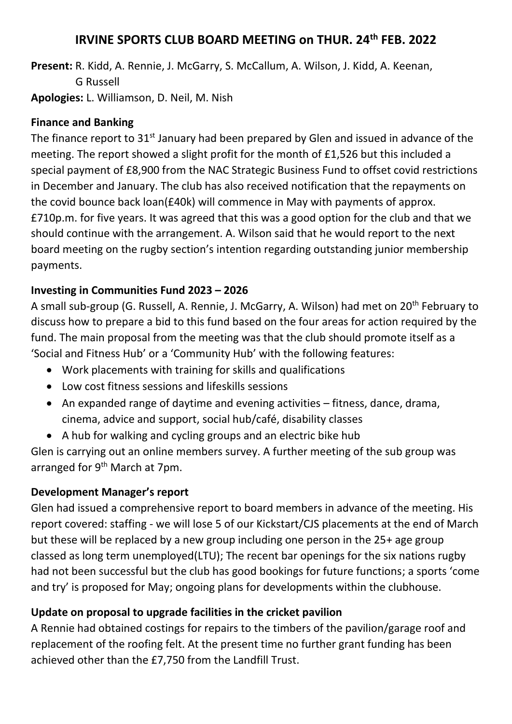## **IRVINE SPORTS CLUB BOARD MEETING on THUR. 24th FEB. 2022**

**Present:** R. Kidd, A. Rennie, J. McGarry, S. McCallum, A. Wilson, J. Kidd, A. Keenan, G Russell **Apologies:** L. Williamson, D. Neil, M. Nish

#### **Finance and Banking**

The finance report to 31<sup>st</sup> January had been prepared by Glen and issued in advance of the meeting. The report showed a slight profit for the month of £1,526 but this included a special payment of £8,900 from the NAC Strategic Business Fund to offset covid restrictions in December and January. The club has also received notification that the repayments on the covid bounce back loan(£40k) will commence in May with payments of approx. £710p.m. for five years. It was agreed that this was a good option for the club and that we should continue with the arrangement. A. Wilson said that he would report to the next board meeting on the rugby section's intention regarding outstanding junior membership payments.

#### **Investing in Communities Fund 2023 – 2026**

A small sub-group (G. Russell, A. Rennie, J. McGarry, A. Wilson) had met on 20th February to discuss how to prepare a bid to this fund based on the four areas for action required by the fund. The main proposal from the meeting was that the club should promote itself as a 'Social and Fitness Hub' or a 'Community Hub' with the following features:

- Work placements with training for skills and qualifications
- Low cost fitness sessions and lifeskills sessions
- An expanded range of daytime and evening activities fitness, dance, drama, cinema, advice and support, social hub/café, disability classes
- A hub for walking and cycling groups and an electric bike hub

Glen is carrying out an online members survey. A further meeting of the sub group was arranged for 9<sup>th</sup> March at 7pm.

#### **Development Manager's report**

Glen had issued a comprehensive report to board members in advance of the meeting. His report covered: staffing - we will lose 5 of our Kickstart/CJS placements at the end of March but these will be replaced by a new group including one person in the 25+ age group classed as long term unemployed(LTU); The recent bar openings for the six nations rugby had not been successful but the club has good bookings for future functions; a sports 'come and try' is proposed for May; ongoing plans for developments within the clubhouse.

### **Update on proposal to upgrade facilities in the cricket pavilion**

A Rennie had obtained costings for repairs to the timbers of the pavilion/garage roof and replacement of the roofing felt. At the present time no further grant funding has been achieved other than the £7,750 from the Landfill Trust.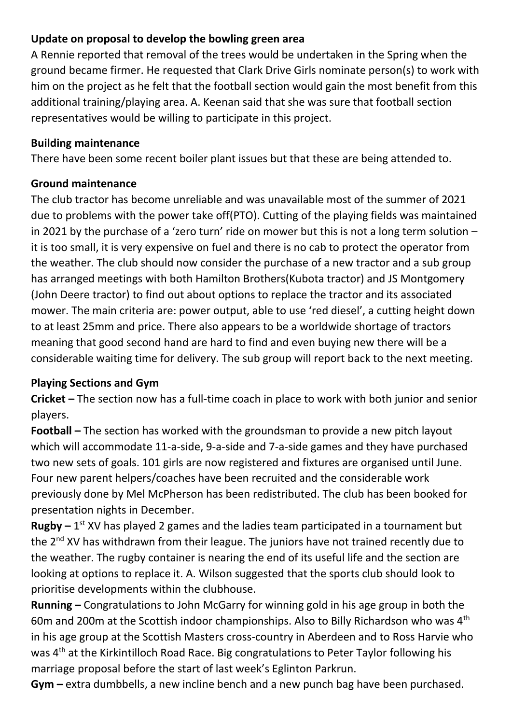## **Update on proposal to develop the bowling green area**

A Rennie reported that removal of the trees would be undertaken in the Spring when the ground became firmer. He requested that Clark Drive Girls nominate person(s) to work with him on the project as he felt that the football section would gain the most benefit from this additional training/playing area. A. Keenan said that she was sure that football section representatives would be willing to participate in this project.

#### **Building maintenance**

There have been some recent boiler plant issues but that these are being attended to.

### **Ground maintenance**

The club tractor has become unreliable and was unavailable most of the summer of 2021 due to problems with the power take off(PTO). Cutting of the playing fields was maintained in 2021 by the purchase of a 'zero turn' ride on mower but this is not a long term solution – it is too small, it is very expensive on fuel and there is no cab to protect the operator from the weather. The club should now consider the purchase of a new tractor and a sub group has arranged meetings with both Hamilton Brothers(Kubota tractor) and JS Montgomery (John Deere tractor) to find out about options to replace the tractor and its associated mower. The main criteria are: power output, able to use 'red diesel', a cutting height down to at least 25mm and price. There also appears to be a worldwide shortage of tractors meaning that good second hand are hard to find and even buying new there will be a considerable waiting time for delivery. The sub group will report back to the next meeting.

### **Playing Sections and Gym**

**Cricket –** The section now has a full-time coach in place to work with both junior and senior players.

**Football –** The section has worked with the groundsman to provide a new pitch layout which will accommodate 11-a-side, 9-a-side and 7-a-side games and they have purchased two new sets of goals. 101 girls are now registered and fixtures are organised until June. Four new parent helpers/coaches have been recruited and the considerable work previously done by Mel McPherson has been redistributed. The club has been booked for presentation nights in December.

**Rugby** – 1<sup>st</sup> XV has played 2 games and the ladies team participated in a tournament but the 2<sup>nd</sup> XV has withdrawn from their league. The juniors have not trained recently due to the weather. The rugby container is nearing the end of its useful life and the section are looking at options to replace it. A. Wilson suggested that the sports club should look to prioritise developments within the clubhouse.

**Running –** Congratulations to John McGarry for winning gold in his age group in both the 60m and 200m at the Scottish indoor championships. Also to Billy Richardson who was 4<sup>th</sup> in his age group at the Scottish Masters cross-country in Aberdeen and to Ross Harvie who was 4<sup>th</sup> at the Kirkintilloch Road Race. Big congratulations to Peter Taylor following his marriage proposal before the start of last week's Eglinton Parkrun.

**Gym –** extra dumbbells, a new incline bench and a new punch bag have been purchased.